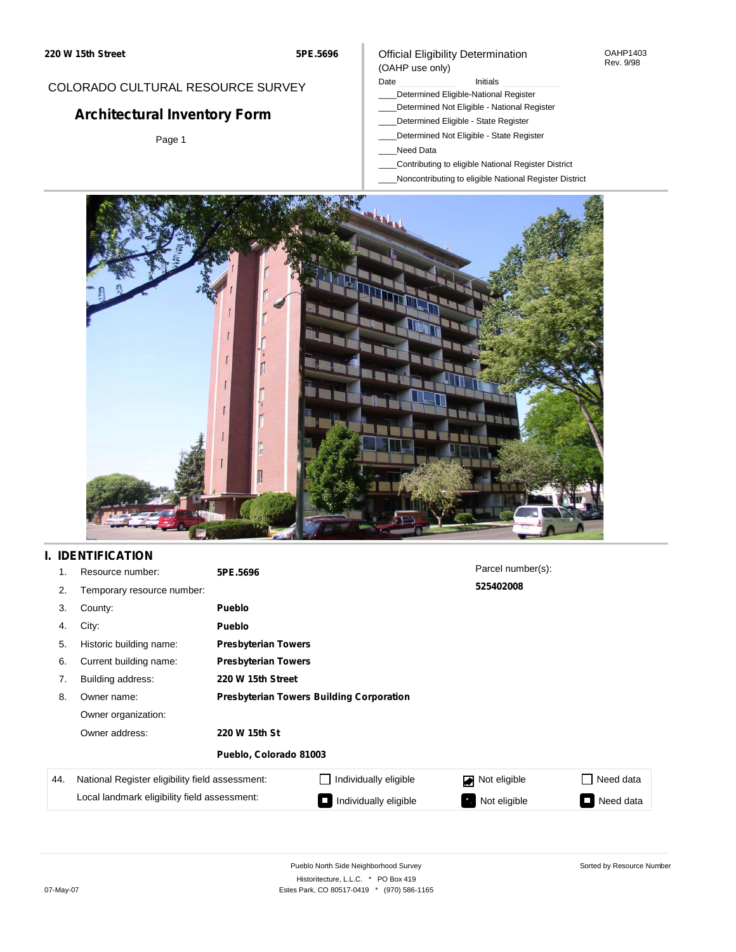#### OAHP1403 Rev. 9/98

## COLORADO CULTURAL RESOURCE SURVEY

# **Architectural Inventory Form**

Page 1

### (OAHP use only) Date **Initials** Initials

\_\_\_\_Determined Eligible-National Register

Official Eligibility Determination

- \_\_\_\_Determined Not Eligible National Register
- \_\_\_\_Determined Eligible State Register
- \_\_\_\_Determined Not Eligible State Register
- \_\_\_\_Need Data
- \_\_\_\_Contributing to eligible National Register District
- \_\_\_\_Noncontributing to eligible National Register District



## **I. IDENTIFICATION**

| 1.  | Resource number:                                | 5PE.5696                                        |                                         | Parcel number(s): |                |  |  |  |
|-----|-------------------------------------------------|-------------------------------------------------|-----------------------------------------|-------------------|----------------|--|--|--|
| 2.  | Temporary resource number:                      |                                                 |                                         | 525402008         |                |  |  |  |
| 3.  | County:                                         | <b>Pueblo</b>                                   |                                         |                   |                |  |  |  |
| 4.  | City:                                           | <b>Pueblo</b>                                   |                                         |                   |                |  |  |  |
| 5.  | Historic building name:                         |                                                 | <b>Presbyterian Towers</b>              |                   |                |  |  |  |
| 6.  | Current building name:                          | <b>Presbyterian Towers</b>                      |                                         |                   |                |  |  |  |
| 7.  | Building address:                               | 220 W 15th Street                               |                                         |                   |                |  |  |  |
| 8.  | Owner name:                                     | <b>Presbyterian Towers Building Corporation</b> |                                         |                   |                |  |  |  |
|     | Owner organization:                             |                                                 |                                         |                   |                |  |  |  |
|     | Owner address:                                  | 220 W 15th St                                   |                                         |                   |                |  |  |  |
|     |                                                 | Pueblo, Colorado 81003                          |                                         |                   |                |  |  |  |
| 44. | National Register eligibility field assessment: |                                                 | Individually eligible                   | Not eligible      | Need data      |  |  |  |
|     | Local landmark eligibility field assessment:    |                                                 | Individually eligible<br>$\blacksquare$ | Not eligible      | Need data<br>o |  |  |  |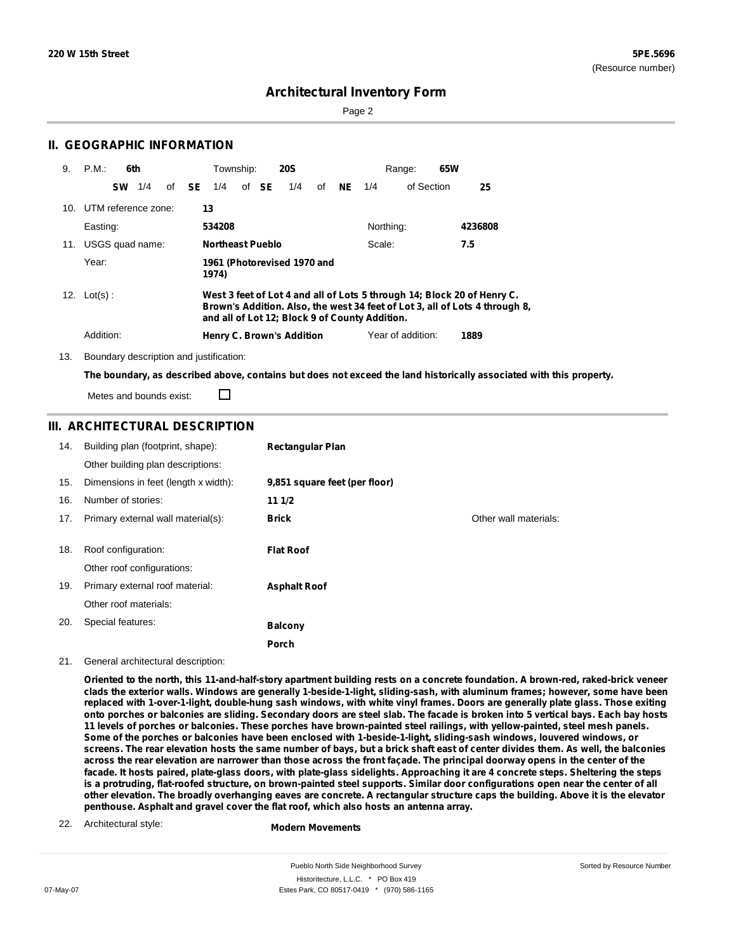Sorted by Resource Number

## **Architectural Inventory Form**

Page 2

#### P.M.: **6th** Township: **20S** Range: **65W 25** UTM reference zone: **13** 10. Easting: **534208** Northing: **4236808** USGS quad name: **Northeast Pueblo** 11. Year: **1961 (Photorevised 1970 and 1974)** Scale: **7.5** Lot(s) : **West 3 feet of Lot 4 and all of Lots 5 through 14; Block 20 of Henry C. Brown's Addition. Also, the west 34 feet of Lot 3, all of Lots 4 through 8, and all of Lot 12; Block 9 of County Addition.** Addition: **Henry C. Brown's Addition** Year of addition: **1889** 9. P.M. 12. Lot(s): of SE 1/4 of SE 1/4 of NE 1/4 of Section **SW** 1/4 **SE** 1/4 **SE** 1/4 **NE** 1/4

13. Boundary description and justification:

**II. GEOGRAPHIC INFORMATION**

The boundary, as described above, contains but does not exceed the land historically associated with this property.

Metes and bounds exist:

П

### **III. ARCHITECTURAL DESCRIPTION**

| 14. | Building plan (footprint, shape):    | <b>Rectangular Plan</b>       |                       |
|-----|--------------------------------------|-------------------------------|-----------------------|
|     | Other building plan descriptions:    |                               |                       |
| 15. | Dimensions in feet (length x width): | 9,851 square feet (per floor) |                       |
| 16. | Number of stories:                   | 111/2                         |                       |
| 17. | Primary external wall material(s):   | <b>Brick</b>                  | Other wall materials: |
|     |                                      |                               |                       |
| 18. | Roof configuration:                  | <b>Flat Roof</b>              |                       |
|     | Other roof configurations:           |                               |                       |
| 19. | Primary external roof material:      | <b>Asphalt Roof</b>           |                       |
|     | Other roof materials:                |                               |                       |
| 20. | Special features:                    | <b>Balcony</b>                |                       |
|     |                                      | Porch                         |                       |

#### 21. General architectural description:

Oriented to the north, this 11-and-half-story apartment building rests on a concrete foundation. A brown-red, raked-brick veneer clads the exterior walls. Windows are generally 1-beside-1-light, sliding-sash, with aluminum frames; however, some have been replaced with 1-over-1-light, double-hung sash windows, with white vinyl frames. Doors are generally plate glass. Those exiting onto porches or balconies are sliding. Secondary doors are steel slab. The facade is broken into 5 vertical bays. Each bay hosts 11 levels of porches or balconies. These porches have brown-painted steel railings, with yellow-painted, steel mesh panels. Some of the porches or balconies have been enclosed with 1-beside-1-light, sliding-sash windows, louvered windows, or screens. The rear elevation hosts the same number of bays, but a brick shaft east of center divides them. As well, the balconies across the rear elevation are narrower than those across the front façade. The principal doorway opens in the center of the facade. It hosts paired, plate-glass doors, with plate-glass sidelights. Approaching it are 4 concrete steps. Sheltering the steps is a protruding, flat-roofed structure, on brown-painted steel supports. Similar door configurations open near the center of all other elevation. The broadly overhanging eaves are concrete. A rectangular structure caps the building. Above it is the elevator **penthouse. Asphalt and gravel cover the flat roof, which also hosts an antenna array.**

22. Architectural style:

**Modern Movements**

Pueblo North Side Neighborhood Survey Historitecture, L.L.C. \* PO Box 419 07-May-07 Estes Park, CO 80517-0419 \* (970) 586-1165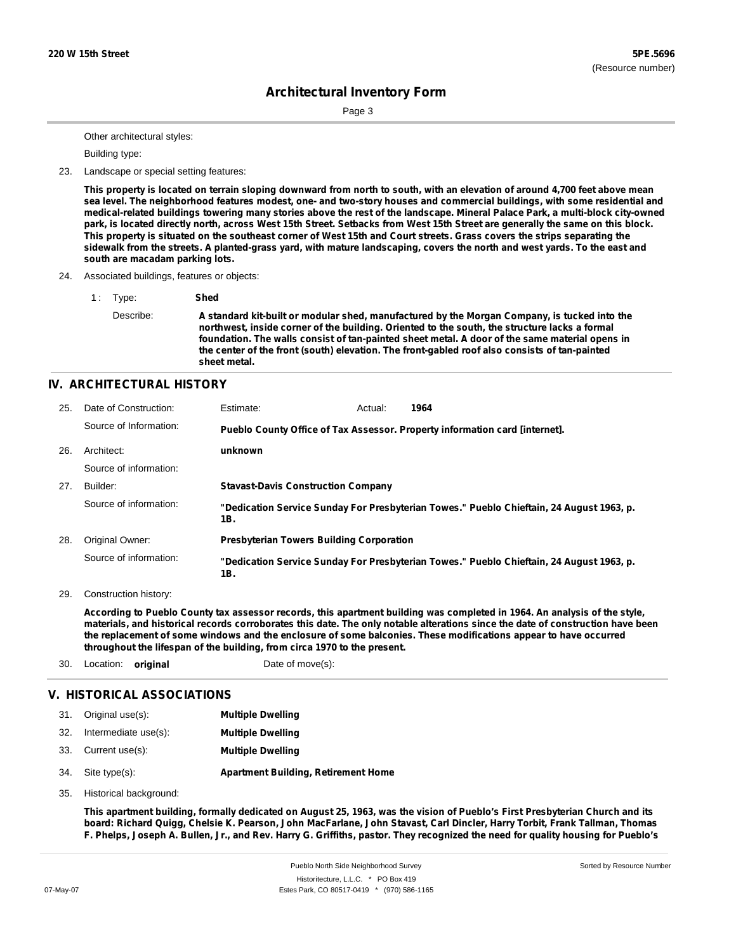Page 3

Other architectural styles:

Building type:

23. Landscape or special setting features:

This property is located on terrain sloping downward from north to south, with an elevation of around 4,700 feet above mean sea level. The neighborhood features modest, one- and two-story houses and commercial buildings, with some residential and medical-related buildings towering many stories above the rest of the landscape. Mineral Palace Park, a multi-block city-owned park, is located directly north, across West 15th Street. Setbacks from West 15th Street are generally the same on this block. This property is situated on the southeast corner of West 15th and Court streets. Grass covers the strips separating the sidewalk from the streets. A planted-grass yard, with mature landscaping, covers the north and west yards. To the east and **south are macadam parking lots.**

#### 24. Associated buildings, features or objects:

1 : Type: **Shed** Describe: **A standard kit-built or modular shed, manufactured by the Morgan Company, is tucked into the northwest, inside corner of the building. Oriented to the south, the structure lacks a formal foundation. The walls consist of tan-painted sheet metal. A door of the same material opens in the center of the front (south) elevation. The front-gabled roof also consists of tan-painted sheet metal.**

### **IV. ARCHITECTURAL HISTORY**

| 25. | Date of Construction:  | Estimate:                                       | Actual: | 1964                                                                                     |
|-----|------------------------|-------------------------------------------------|---------|------------------------------------------------------------------------------------------|
|     | Source of Information: |                                                 |         | Pueblo County Office of Tax Assessor. Property information card [internet].              |
| 26. | Architect:             | unknown                                         |         |                                                                                          |
|     | Source of information: |                                                 |         |                                                                                          |
| 27. | Builder:               | <b>Stavast-Davis Construction Company</b>       |         |                                                                                          |
|     | Source of information: | 1B.                                             |         | "Dedication Service Sunday For Presbyterian Towes." Pueblo Chieftain, 24 August 1963, p. |
| 28. | Original Owner:        | <b>Presbyterian Towers Building Corporation</b> |         |                                                                                          |
|     | Source of information: | 1B.                                             |         | "Dedication Service Sunday For Presbyterian Towes." Pueblo Chieftain, 24 August 1963, p. |

29. Construction history:

According to Pueblo County tax assessor records, this apartment building was completed in 1964. An analysis of the style, materials, and historical records corroborates this date. The only notable alterations since the date of construction have been the replacement of some windows and the enclosure of some balconies. These modifications appear to have occurred **throughout the lifespan of the building, from circa 1970 to the present.**

30. Location: **original** Date of move(s):

### **V. HISTORICAL ASSOCIATIONS**

| 31. | Original use(s):         | <b>Multiple Dwelling</b>                   |
|-----|--------------------------|--------------------------------------------|
|     | 32. Intermediate use(s): | <b>Multiple Dwelling</b>                   |
|     | 33. Current use(s):      | <b>Multiple Dwelling</b>                   |
|     | 34. Site type(s):        | <b>Apartment Building, Retirement Home</b> |

35. Historical background:

This apartment building, formally dedicated on August 25, 1963, was the vision of Pueblo's First Presbyterian Church and its board: Richard Quigg, Chelsie K. Pearson, John MacFarlane, John Stavast, Carl Dincler, Harry Torbit, Frank Tallman, Thomas F. Phelps, Joseph A. Bullen, Jr., and Rev. Harry G. Griffiths, pastor. They recognized the need for quality housing for Pueblo's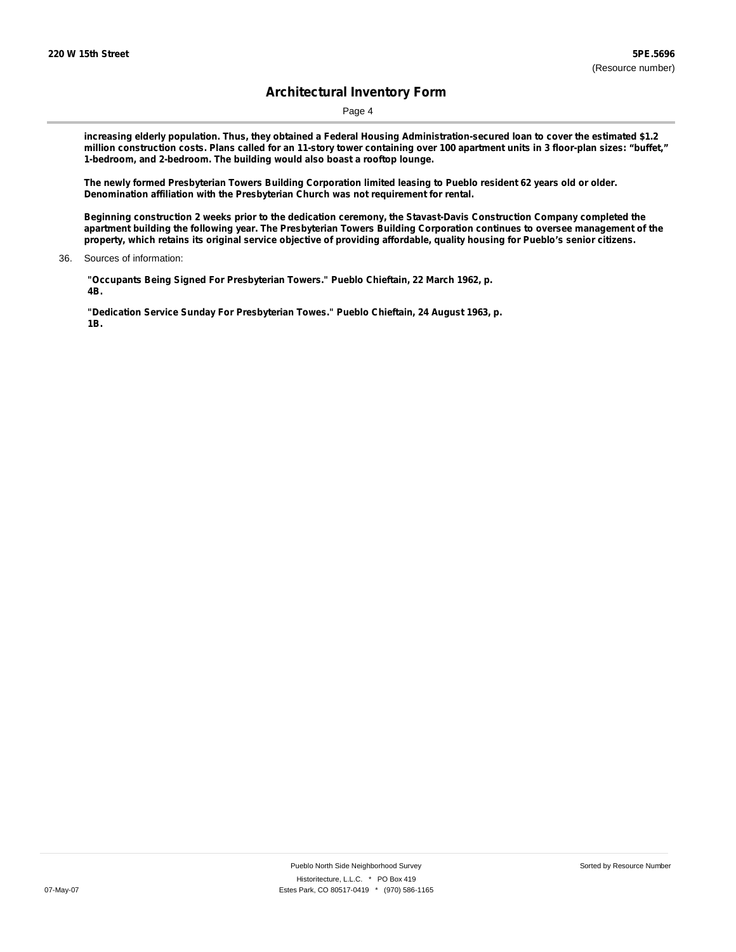Page 4

increasing elderly population. Thus, they obtained a Federal Housing Administration-secured loan to cover the estimated \$1.2 million construction costs. Plans called for an 11-story tower containing over 100 apartment units in 3 floor-plan sizes: "buffet," **1-bedroom, and 2-bedroom. The building would also boast a rooftop lounge.**

The newly formed Presbyterian Towers Building Corporation limited leasing to Pueblo resident 62 years old or older. **Denomination affiliation with the Presbyterian Church was not requirement for rental.**

**Beginning construction 2 weeks prior to the dedication ceremony, the Stavast-Davis Construction Company completed the** apartment building the following year. The Presbyterian Towers Building Corporation continues to oversee management of the property, which retains its original service objective of providing affordable, quality housing for Pueblo's senior citizens.

**"Occupants Being Signed For Presbyterian Towers." Pueblo Chieftain, 22 March 1962, p. 4B.**

**"Dedication Service Sunday For Presbyterian Towes." Pueblo Chieftain, 24 August 1963, p. 1B.**

<sup>36.</sup> Sources of information: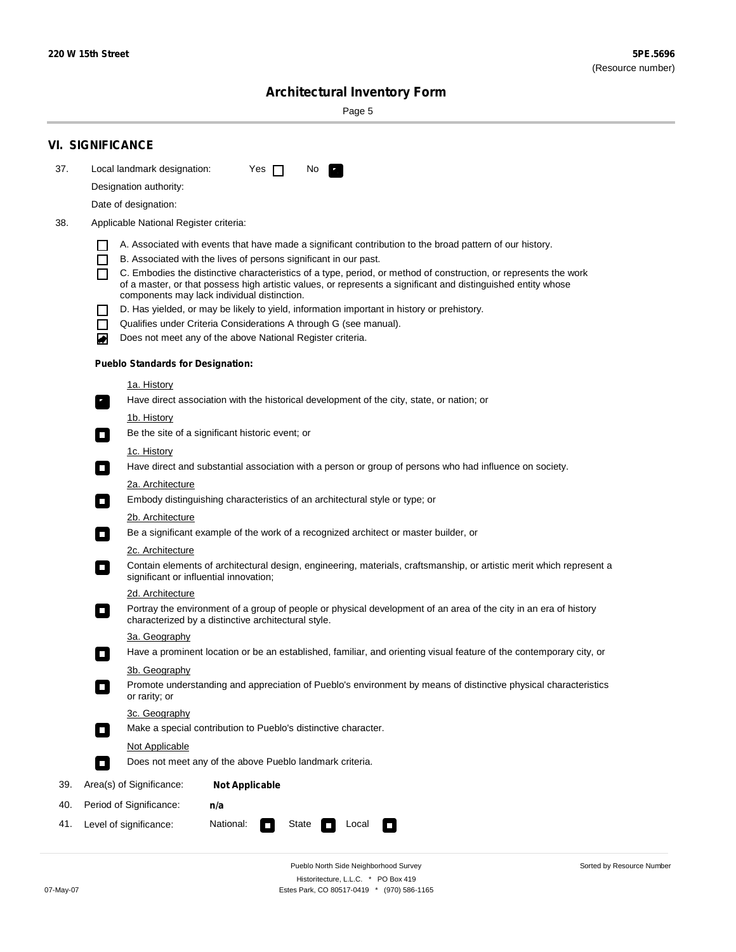$\sim$ 

Sorted by Resource Number

# **Architectural Inventory Form**

Page 5

|     | <b>VI. SIGNIFICANCE</b>                                                                                                                                                                                                                              |                                                                                                                                                                                                                                                                                                                                                                                                                                                                                                                                                                                                                                                                                                                                                                                                                                                                                                                                                                                                                                                                                                                                                                                                                                                                                                                                                                     |  |  |  |  |  |  |
|-----|------------------------------------------------------------------------------------------------------------------------------------------------------------------------------------------------------------------------------------------------------|---------------------------------------------------------------------------------------------------------------------------------------------------------------------------------------------------------------------------------------------------------------------------------------------------------------------------------------------------------------------------------------------------------------------------------------------------------------------------------------------------------------------------------------------------------------------------------------------------------------------------------------------------------------------------------------------------------------------------------------------------------------------------------------------------------------------------------------------------------------------------------------------------------------------------------------------------------------------------------------------------------------------------------------------------------------------------------------------------------------------------------------------------------------------------------------------------------------------------------------------------------------------------------------------------------------------------------------------------------------------|--|--|--|--|--|--|
| 37. | Local landmark designation:                                                                                                                                                                                                                          | Yes $\Box$<br>No.<br>$\mathcal{F}_\alpha$                                                                                                                                                                                                                                                                                                                                                                                                                                                                                                                                                                                                                                                                                                                                                                                                                                                                                                                                                                                                                                                                                                                                                                                                                                                                                                                           |  |  |  |  |  |  |
|     | Designation authority:                                                                                                                                                                                                                               |                                                                                                                                                                                                                                                                                                                                                                                                                                                                                                                                                                                                                                                                                                                                                                                                                                                                                                                                                                                                                                                                                                                                                                                                                                                                                                                                                                     |  |  |  |  |  |  |
|     | Date of designation:                                                                                                                                                                                                                                 |                                                                                                                                                                                                                                                                                                                                                                                                                                                                                                                                                                                                                                                                                                                                                                                                                                                                                                                                                                                                                                                                                                                                                                                                                                                                                                                                                                     |  |  |  |  |  |  |
| 38. | Applicable National Register criteria:                                                                                                                                                                                                               |                                                                                                                                                                                                                                                                                                                                                                                                                                                                                                                                                                                                                                                                                                                                                                                                                                                                                                                                                                                                                                                                                                                                                                                                                                                                                                                                                                     |  |  |  |  |  |  |
|     | $\mathsf{L}$<br>П<br>П<br>$\Box$<br>П<br>O<br>1a. History<br>$\mathbf{r}_\perp$<br><u>1b. History</u><br>$\overline{\phantom{a}}$<br>1c. History<br>$\Box$<br>$\Box$<br>$\sim$<br>$\overline{\phantom{a}}$<br>significant or influential innovation; | A. Associated with events that have made a significant contribution to the broad pattern of our history.<br>B. Associated with the lives of persons significant in our past.<br>C. Embodies the distinctive characteristics of a type, period, or method of construction, or represents the work<br>of a master, or that possess high artistic values, or represents a significant and distinguished entity whose<br>components may lack individual distinction.<br>D. Has yielded, or may be likely to yield, information important in history or prehistory.<br>Qualifies under Criteria Considerations A through G (see manual).<br>Does not meet any of the above National Register criteria.<br><b>Pueblo Standards for Designation:</b><br>Have direct association with the historical development of the city, state, or nation; or<br>Be the site of a significant historic event; or<br>Have direct and substantial association with a person or group of persons who had influence on society.<br>2a. Architecture<br>Embody distinguishing characteristics of an architectural style or type; or<br>2b. Architecture<br>Be a significant example of the work of a recognized architect or master builder, or<br>2c. Architecture<br>Contain elements of architectural design, engineering, materials, craftsmanship, or artistic merit which represent a |  |  |  |  |  |  |
|     | 2d. Architecture                                                                                                                                                                                                                                     |                                                                                                                                                                                                                                                                                                                                                                                                                                                                                                                                                                                                                                                                                                                                                                                                                                                                                                                                                                                                                                                                                                                                                                                                                                                                                                                                                                     |  |  |  |  |  |  |
|     | $\overline{\phantom{a}}$                                                                                                                                                                                                                             | Portray the environment of a group of people or physical development of an area of the city in an era of history<br>characterized by a distinctive architectural style.                                                                                                                                                                                                                                                                                                                                                                                                                                                                                                                                                                                                                                                                                                                                                                                                                                                                                                                                                                                                                                                                                                                                                                                             |  |  |  |  |  |  |
|     | 3a. Geography                                                                                                                                                                                                                                        |                                                                                                                                                                                                                                                                                                                                                                                                                                                                                                                                                                                                                                                                                                                                                                                                                                                                                                                                                                                                                                                                                                                                                                                                                                                                                                                                                                     |  |  |  |  |  |  |
|     |                                                                                                                                                                                                                                                      | Have a prominent location or be an established, familiar, and orienting visual feature of the contemporary city, or                                                                                                                                                                                                                                                                                                                                                                                                                                                                                                                                                                                                                                                                                                                                                                                                                                                                                                                                                                                                                                                                                                                                                                                                                                                 |  |  |  |  |  |  |
|     | 3b. Geography<br>or rarity; or                                                                                                                                                                                                                       | Promote understanding and appreciation of Pueblo's environment by means of distinctive physical characteristics                                                                                                                                                                                                                                                                                                                                                                                                                                                                                                                                                                                                                                                                                                                                                                                                                                                                                                                                                                                                                                                                                                                                                                                                                                                     |  |  |  |  |  |  |
|     | 3c. Geography                                                                                                                                                                                                                                        |                                                                                                                                                                                                                                                                                                                                                                                                                                                                                                                                                                                                                                                                                                                                                                                                                                                                                                                                                                                                                                                                                                                                                                                                                                                                                                                                                                     |  |  |  |  |  |  |
|     | Make a special contribution to Pueblo's distinctive character.<br>$\overline{\phantom{a}}$                                                                                                                                                           |                                                                                                                                                                                                                                                                                                                                                                                                                                                                                                                                                                                                                                                                                                                                                                                                                                                                                                                                                                                                                                                                                                                                                                                                                                                                                                                                                                     |  |  |  |  |  |  |
|     | Not Applicable                                                                                                                                                                                                                                       |                                                                                                                                                                                                                                                                                                                                                                                                                                                                                                                                                                                                                                                                                                                                                                                                                                                                                                                                                                                                                                                                                                                                                                                                                                                                                                                                                                     |  |  |  |  |  |  |
|     | $\Box$                                                                                                                                                                                                                                               | Does not meet any of the above Pueblo landmark criteria.                                                                                                                                                                                                                                                                                                                                                                                                                                                                                                                                                                                                                                                                                                                                                                                                                                                                                                                                                                                                                                                                                                                                                                                                                                                                                                            |  |  |  |  |  |  |
| 39. | Area(s) of Significance:                                                                                                                                                                                                                             | <b>Not Applicable</b>                                                                                                                                                                                                                                                                                                                                                                                                                                                                                                                                                                                                                                                                                                                                                                                                                                                                                                                                                                                                                                                                                                                                                                                                                                                                                                                                               |  |  |  |  |  |  |
| 40. | Period of Significance:                                                                                                                                                                                                                              | n/a                                                                                                                                                                                                                                                                                                                                                                                                                                                                                                                                                                                                                                                                                                                                                                                                                                                                                                                                                                                                                                                                                                                                                                                                                                                                                                                                                                 |  |  |  |  |  |  |
| 41. | National:<br>Level of significance:<br>State<br>Local<br>U                                                                                                                                                                                           |                                                                                                                                                                                                                                                                                                                                                                                                                                                                                                                                                                                                                                                                                                                                                                                                                                                                                                                                                                                                                                                                                                                                                                                                                                                                                                                                                                     |  |  |  |  |  |  |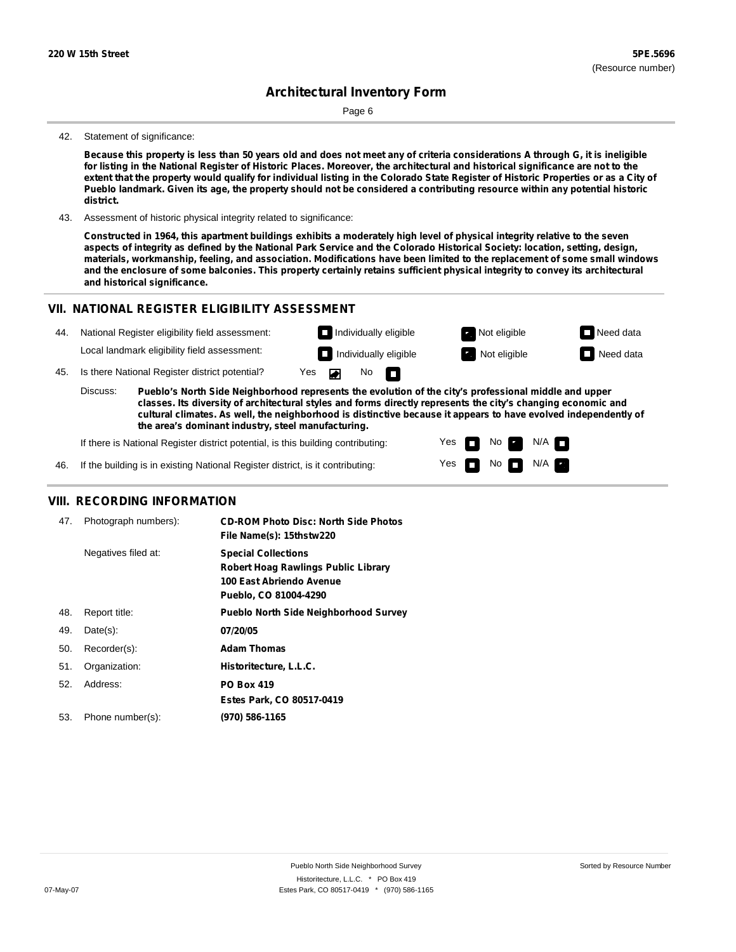Page 6

#### 42. Statement of significance:

Because this property is less than 50 years old and does not meet any of criteria considerations A through G, it is ineligible for listing in the National Register of Historic Places. Moreover, the architectural and historical significance are not to the extent that the property would qualify for individual listing in the Colorado State Register of Historic Properties or as a City of Pueblo landmark. Given its age, the property should not be considered a contributing resource within any potential historic **district.**

43. Assessment of historic physical integrity related to significance:

Constructed in 1964, this apartment buildings exhibits a moderately high level of physical integrity relative to the seven aspects of integrity as defined by the National Park Service and the Colorado Historical Society: location, setting, design, materials, workmanship, feeling, and association. Modifications have been limited to the replacement of some small windows and the enclosure of some balconies. This property certainly retains sufficient physical integrity to convey its architectural **and historical significance.**

### **VII. NATIONAL REGISTER ELIGIBILITY ASSESSMENT**

| 44. |                                                                                                                                                                                                                                                                                                                                                       | National Register eligibility field assessment: |     |   |     | $\Box$ Individually eligible | Not eligible | $\Box$ Need data |
|-----|-------------------------------------------------------------------------------------------------------------------------------------------------------------------------------------------------------------------------------------------------------------------------------------------------------------------------------------------------------|-------------------------------------------------|-----|---|-----|------------------------------|--------------|------------------|
|     |                                                                                                                                                                                                                                                                                                                                                       | Local landmark eligibility field assessment:    |     | п |     | Individually eligible        | Not eligible | Need data        |
| 45. |                                                                                                                                                                                                                                                                                                                                                       | Is there National Register district potential?  | Yes |   | No. | - n                          |              |                  |
|     | Discuss:<br>Pueblo's North Side Neighborhood represents the evolution of the city's professional middle and upper<br>classes. Its diversity of architectural styles and forms directly represents the city's changing economic and<br>cultural climates. As well, the neighborhood is distinctive because it appears to have evolved independently of |                                                 |     |   |     |                              |              |                  |

**the area's dominant industry, steel manufacturing.**

If there is National Register district potential, is this building contributing:

Yes Yes No No  $\blacksquare$  N/A  $\blacksquare$  $N/A$   $\Box$ 

46. If the building is in existing National Register district, is it contributing:

### **VIII. RECORDING INFORMATION**

| 47. | Photograph numbers): | <b>CD-ROM Photo Disc: North Side Photos</b><br>File Name(s): 15thstw220                                                       |
|-----|----------------------|-------------------------------------------------------------------------------------------------------------------------------|
|     | Negatives filed at:  | <b>Special Collections</b><br><b>Robert Hoag Rawlings Public Library</b><br>100 East Abriendo Avenue<br>Pueblo, CO 81004-4290 |
| 48. | Report title:        | <b>Pueblo North Side Neighborhood Survey</b>                                                                                  |
| 49. | $Date(s)$ :          | 07/20/05                                                                                                                      |
| 50. | Recorder(s):         | <b>Adam Thomas</b>                                                                                                            |
| 51. | Organization:        | Historitecture, L.L.C.                                                                                                        |
| 52. | Address:             | <b>PO Box 419</b>                                                                                                             |
|     |                      | Estes Park, CO 80517-0419                                                                                                     |
| 53. | Phone number(s):     | (970) 586-1165                                                                                                                |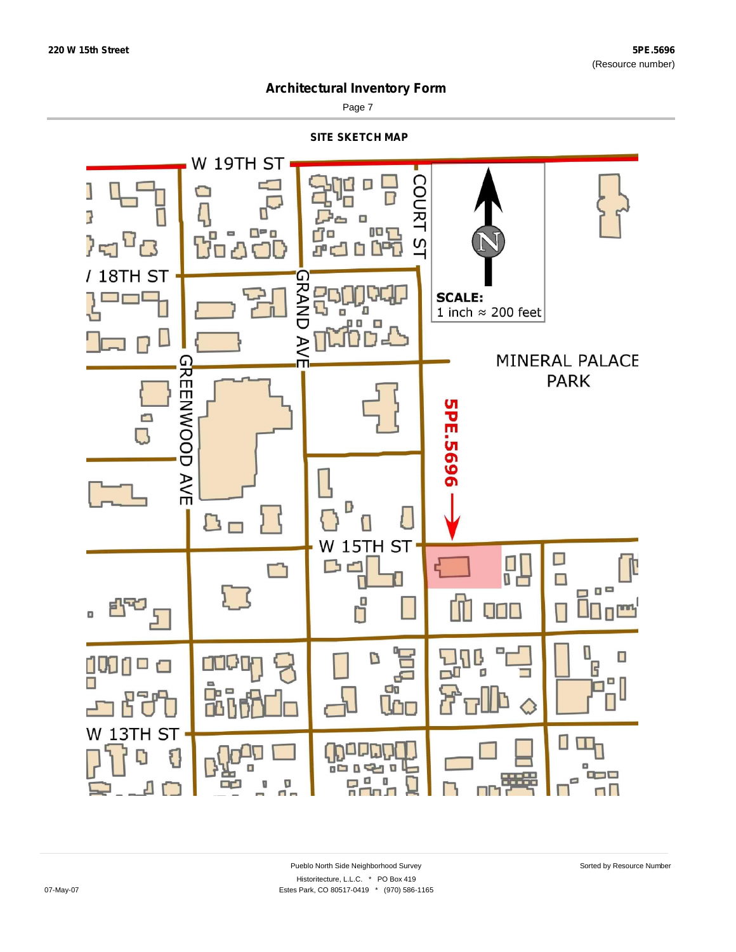

Page 7